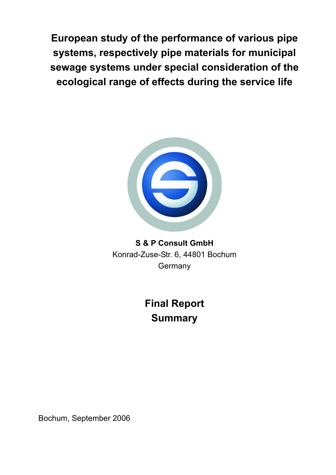**European study of the performance of various pipe systems, respectively pipe materials for municipal sewage systems under special consideration of the ecological range of effects during the service life** 



**S & P Consult GmbH**  Konrad-Zuse-Str. 6, 44801 Bochum **Germany** 

> **Final Report Summary**

Bochum, September 2006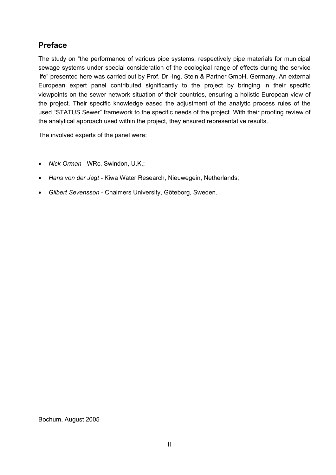## **Preface**

The study on "the performance of various pipe systems, respectively pipe materials for municipal sewage systems under special consideration of the ecological range of effects during the service life" presented here was carried out by Prof. Dr.-Ing. Stein & Partner GmbH, Germany. An external European expert panel contributed significantly to the project by bringing in their specific viewpoints on the sewer network situation of their countries, ensuring a holistic European view of the project. Their specific knowledge eased the adjustment of the analytic process rules of the used "STATUS Sewer" framework to the specific needs of the project. With their proofing review of the analytical approach used within the project, they ensured representative results.

The involved experts of the panel were:

- *Nick Orman* WRc, Swindon, U.K.;
- *Hans von der Jagt* Kiwa Water Research, Nieuwegein, Netherlands;
- *Gilbert Sevensson* Chalmers University, Göteborg, Sweden.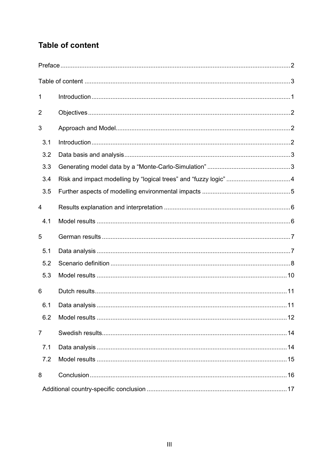# **Table of content**

| 1              |                                                                  |  |
|----------------|------------------------------------------------------------------|--|
| 2              |                                                                  |  |
| 3              |                                                                  |  |
| 3.1            |                                                                  |  |
| 3.2            |                                                                  |  |
| 3.3            |                                                                  |  |
| 3.4            | Risk and impact modelling by "logical trees" and "fuzzy logic" 4 |  |
| 3.5            |                                                                  |  |
| $\overline{4}$ |                                                                  |  |
| 4.1            |                                                                  |  |
| 5              |                                                                  |  |
| 5.1            |                                                                  |  |
| 5.2            |                                                                  |  |
| 5.3            |                                                                  |  |
| 6              |                                                                  |  |
| 6.1            |                                                                  |  |
| 6.2            |                                                                  |  |
| $\overline{7}$ |                                                                  |  |
| 7.1            |                                                                  |  |
| 7.2            |                                                                  |  |
| 8              |                                                                  |  |
|                |                                                                  |  |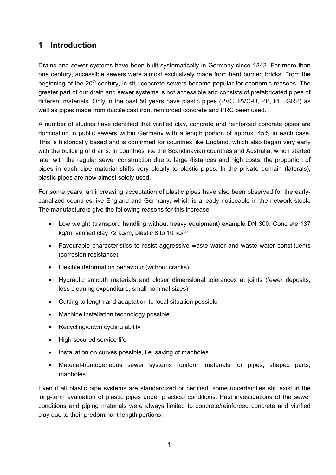## **1 Introduction**

Drains and sewer systems have been built systematically in Germany since 1842. For more than one century, accessible sewers were almost exclusively made from hard burned bricks. From the beginning of the  $20<sup>th</sup>$  century, in-situ-concrete sewers became popular for economic reasons. The greater part of our drain and sewer systems is not accessible and consists of prefabricated pipes of different materials. Only in the past 50 years have plastic pipes (PVC, PVC-U, PP, PE, GRP) as well as pipes made from ductile cast iron, reinforced concrete and PRC been used.

A number of studies have identified that vitrified clay, concrete and reinforced concrete pipes are dominating in public sewers within Germany with a length portion of approx. 45% in each case. This is historically based and is confirmed for countries like England, which also began very early with the building of drains. In countries like the Scandinavian countries and Australia, which started later with the regular sewer construction due to large distances and high costs, the proportion of pipes in each pipe material shifts very clearly to plastic pipes. In the private domain (laterals), plastic pipes are now almost solely used.

For some years, an increasing acceptation of plastic pipes have also been observed for the earlycanalized countries like England and Germany, which is already noticeable in the network stock. The manufacturers give the following reasons for this increase:

- Low weight (transport, handling without heavy equipment) example DN 300: Concrete 137 kg/m, vitrified clay 72 kg/m, plastic 8 to 10 kg/m
- Favourable characteristics to resist aggressive waste water and waste water constituents (corrosion resistance)
- Flexible deformation behaviour (without cracks)
- Hydraulic smooth materials and closer dimensional tolerances at joints (fewer deposits, less cleaning expenditure, small nominal sizes)
- Cutting to length and adaptation to local situation possible
- Machine installation technology possible
- Recycling/down cycling ability
- High secured service life
- Installation on curves possible, i.e. saving of manholes
- Material-homogeneous sewer systems (uniform materials for pipes, shaped parts, manholes)

Even if all plastic pipe systems are standardized or certified, some uncertainties still exist in the long-term evaluation of plastic pipes under practical conditions. Past investigations of the sewer conditions and piping materials were always limited to concrete/reinforced concrete and vitrified clay due to their predominant length portions.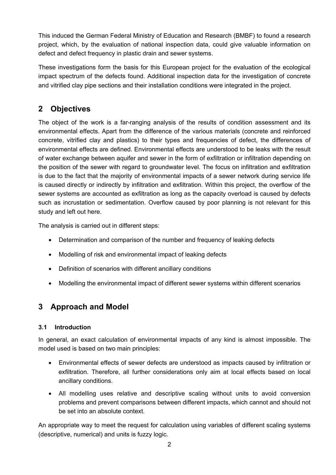This induced the German Federal Ministry of Education and Research (BMBF) to found a research project, which, by the evaluation of national inspection data, could give valuable information on defect and defect frequency in plastic drain and sewer systems.

These investigations form the basis for this European project for the evaluation of the ecological impact spectrum of the defects found. Additional inspection data for the investigation of concrete and vitrified clay pipe sections and their installation conditions were integrated in the project.

# **2 Objectives**

The object of the work is a far-ranging analysis of the results of condition assessment and its environmental effects. Apart from the difference of the various materials (concrete and reinforced concrete, vitrified clay and plastics) to their types and frequencies of defect, the differences of environmental effects are defined. Environmental effects are understood to be leaks with the result of water exchange between aquifer and sewer in the form of exfiltration or infiltration depending on the position of the sewer with regard to groundwater level. The focus on infiltration and exfiltration is due to the fact that the majority of environmental impacts of a sewer network during service life is caused directly or indirectly by infiltration and exfiltration. Within this project, the overflow of the sewer systems are accounted as exfiltration as long as the capacity overload is caused by defects such as incrustation or sedimentation. Overflow caused by poor planning is not relevant for this study and left out here.

The analysis is carried out in different steps:

- Determination and comparison of the number and frequency of leaking defects
- Modelling of risk and environmental impact of leaking defects
- Definition of scenarios with different ancillary conditions
- Modelling the environmental impact of different sewer systems within different scenarios

# **3 Approach and Model**

### **3.1 Introduction**

In general, an exact calculation of environmental impacts of any kind is almost impossible. The model used is based on two main principles:

- Environmental effects of sewer defects are understood as impacts caused by infiltration or exfiltration. Therefore, all further considerations only aim at local effects based on local ancillary conditions.
- All modelling uses relative and descriptive scaling without units to avoid conversion problems and prevent comparisons between different impacts, which cannot and should not be set into an absolute context.

An appropriate way to meet the request for calculation using variables of different scaling systems (descriptive, numerical) and units is fuzzy logic.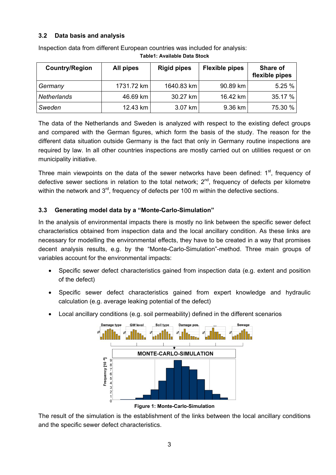#### **3.2 Data basis and analysis**

| <b>Country/Region</b> | All pipes  | <b>Rigid pipes</b> | <b>Flexible pipes</b> | Share of<br>flexible pipes |
|-----------------------|------------|--------------------|-----------------------|----------------------------|
| Germany               | 1731.72 km | 1640.83 km         | 90.89 km              | 5.25%                      |
| <b>Netherlands</b>    | 46.69 km   | 30.27 km           | 16.42 km              | 35.17 %                    |
| Sweden                | 12.43 km   | 3.07 km            | $9.36$ km             | 75.30 %                    |

Inspection data from different European countries was included for analysis: **Table1: Available Data Stock** 

The data of the Netherlands and Sweden is analyzed with respect to the existing defect groups and compared with the German figures, which form the basis of the study. The reason for the different data situation outside Germany is the fact that only in Germany routine inspections are required by law. In all other countries inspections are mostly carried out on utilities request or on municipality initiative.

Three main viewpoints on the data of the sewer networks have been defined: 1<sup>st</sup>, frequency of defective sewer sections in relation to the total network;  $2^{nd}$ , frequency of defects per kilometre within the network and  $3<sup>rd</sup>$ , frequency of defects per 100 m within the defective sections.

### **3.3 Generating model data by a "Monte-Carlo-Simulation"**

In the analysis of environmental impacts there is mostly no link between the specific sewer defect characteristics obtained from inspection data and the local ancillary condition. As these links are necessary for modelling the environmental effects, they have to be created in a way that promises decent analysis results, e.g. by the "Monte-Carlo-Simulation"-method. Three main groups of variables account for the environmental impacts:

- Specific sewer defect characteristics gained from inspection data (e.g. extent and position of the defect)
- Specific sewer defect characteristics gained from expert knowledge and hydraulic calculation (e.g. average leaking potential of the defect)
- Local ancillary conditions (e.g. soil permeability) defined in the different scenarios



**Figure 1: Monte-Carlo-Simulation** 

The result of the simulation is the establishment of the links between the local ancillary conditions and the specific sewer defect characteristics.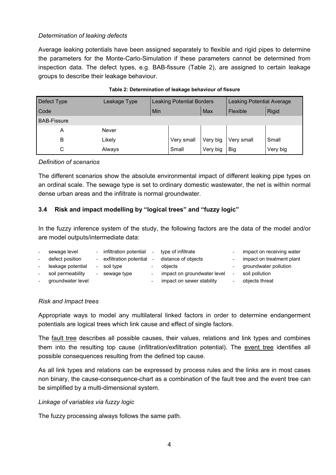#### *Determination of leaking defects*

Average leaking potentials have been assigned separately to flexible and rigid pipes to determine the parameters for the Monte-Carlo-Simulation if these parameters cannot be determined from inspection data. The defect types, e.g. BAB-fissure (Table 2), are assigned to certain leakage groups to describe their leakage behaviour.

| Defect Type        | Leakage Type | <b>Leaking Potential Borders</b> |            | Leaking Potential Average |            |              |
|--------------------|--------------|----------------------------------|------------|---------------------------|------------|--------------|
| Code               |              | Min                              | Max        |                           | Flexible   | <b>Rigid</b> |
| <b>BAB-Fissure</b> |              |                                  |            |                           |            |              |
| A                  | Never        |                                  |            |                           |            |              |
| B                  | Likely       |                                  | Very small | Very big                  | Very small | Small        |
| С                  | Always       |                                  | Small      | Very big                  | <b>Big</b> | Very big     |

| Table 2: Determination of leakage behaviour of fissure |
|--------------------------------------------------------|
|--------------------------------------------------------|

#### *Definition of scenarios*

The different scenarios show the absolute environmental impact of different leaking pipe types on an ordinal scale. The sewage type is set to ordinary domestic wastewater, the net is within normal dense urban areas and the infiltrate is normal groundwater.

#### **3.4 Risk and impact modelling by "logical trees" and "fuzzy logic"**

In the fuzzy inference system of the study, the following factors are the data of the model and/or are model outputs/intermediate data:

| $\overline{\phantom{0}}$ | sewage level      | $\sim$                   | infiltration potential | $\overline{\phantom{0}}$ | type of infiltrate          |                          | impact on receiving water |
|--------------------------|-------------------|--------------------------|------------------------|--------------------------|-----------------------------|--------------------------|---------------------------|
| $\overline{\phantom{0}}$ | defect position   |                          | exfiltration potential |                          | distance of objects         |                          | impact on treatment plant |
| $\overline{\phantom{0}}$ | leakage potential | $\overline{\phantom{a}}$ | soil type              |                          | obiects                     |                          | groundwater pollution     |
| $\overline{\phantom{0}}$ | soil permeability | $\overline{\phantom{a}}$ | sewage type            |                          | impact on groundwater level | $\overline{\phantom{a}}$ | soil pollution            |
| $\overline{\phantom{0}}$ | groundwater level |                          |                        |                          | impact on sewer stability   |                          | objects threat            |

#### *Risk and Impact trees*

Appropriate ways to model any multilateral linked factors in order to determine endangerment potentials are logical trees which link cause and effect of single factors.

The fault tree describes all possible causes, their values, relations and link types and combines them into the resulting top cause (infiltration/exfiltration potential). The event tree identifies all possible consequences resulting from the defined top cause.

As all link types and relations can be expressed by process rules and the links are in most cases non binary, the cause-consequence-chart as a combination of the fault tree and the event tree can be simplified by a multi-dimensional system.

#### *Linkage of variables via fuzzy logic*

The fuzzy processing always follows the same path.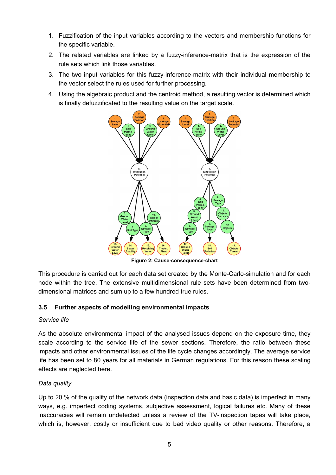- 1. Fuzzification of the input variables according to the vectors and membership functions for the specific variable.
- 2. The related variables are linked by a fuzzy-inference-matrix that is the expression of the rule sets which link those variables.
- 3. The two input variables for this fuzzy-inference-matrix with their individual membership to the vector select the rules used for further processing.
- 4. Using the algebraic product and the centroid method, a resulting vector is determined which is finally defuzzificated to the resulting value on the target scale.



**Figure 2: Cause-consequence-chart** 

This procedure is carried out for each data set created by the Monte-Carlo-simulation and for each node within the tree. The extensive multidimensional rule sets have been determined from twodimensional matrices and sum up to a few hundred true rules.

#### **3.5 Further aspects of modelling environmental impacts**

#### *Service life*

As the absolute environmental impact of the analysed issues depend on the exposure time, they scale according to the service life of the sewer sections. Therefore, the ratio between these impacts and other environmental issues of the life cycle changes accordingly. The average service life has been set to 80 years for all materials in German regulations. For this reason these scaling effects are neglected here.

#### *Data quality*

Up to 20 % of the quality of the network data (inspection data and basic data) is imperfect in many ways, e.g. imperfect coding systems, subjective assessment, logical failures etc. Many of these inaccuracies will remain undetected unless a review of the TV-inspection tapes will take place, which is, however, costly or insufficient due to bad video quality or other reasons. Therefore, a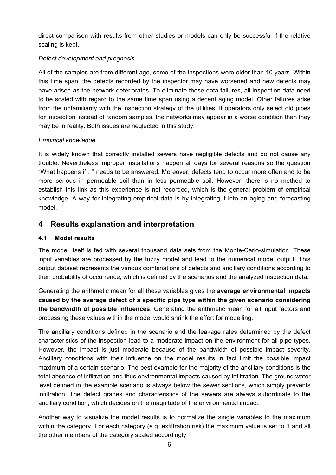direct comparison with results from other studies or models can only be successful if the relative scaling is kept.

### *Defect development and prognosis*

All of the samples are from different age, some of the inspections were older than 10 years. Within this time span, the defects recorded by the inspector may have worsened and new defects may have arisen as the network deteriorates. To eliminate these data failures, all inspection data need to be scaled with regard to the same time span using a decent aging model. Other failures arise from the unfamiliarity with the inspection strategy of the utilities. If operators only select old pipes for inspection instead of random samples, the networks may appear in a worse condition than they may be in reality. Both issues are neglected in this study.

### *Empirical knowledge*

It is widely known that correctly installed sewers have negligible defects and do not cause any trouble. Nevertheless improper installations happen all days for several reasons so the question "What happens if…" needs to be answered. Moreover, defects tend to occur more often and to be more serious in permeable soil than in less permeable soil. However, there is no method to establish this link as this experience is not recorded, which is the general problem of empirical knowledge. A way for integrating empirical data is by integrating it into an aging and forecasting model.

## **4 Results explanation and interpretation**

#### **4.1 Model results**

The model itself is fed with several thousand data sets from the Monte-Carlo-simulation. These input variables are processed by the fuzzy model and lead to the numerical model output. This output dataset represents the various combinations of defects and ancillary conditions according to their probability of occurrence, which is defined by the scenarios and the analyzed inspection data.

Generating the arithmetic mean for all these variables gives the **average environmental impacts caused by the average defect of a specific pipe type within the given scenario considering the bandwidth of possible influences**. Generating the arithmetic mean for all input factors and processing these values within the model would shrink the effort for modelling.

The ancillary conditions defined in the scenario and the leakage rates determined by the defect characteristics of the inspection lead to a moderate impact on the environment for all pipe types. However, the impact is just moderate because of the bandwidth of possible impact severity. Ancillary conditions with their influence on the model results in fact limit the possible impact maximum of a certain scenario. The best example for the majority of the ancillary conditions is the total absence of infiltration and thus environmental impacts caused by infiltration. The ground water level defined in the example scenario is always below the sewer sections, which simply prevents infiltration. The defect grades and characteristics of the sewers are always subordinate to the ancillary condition, which decides on the magnitude of the environmental impact.

Another way to visualize the model results is to normalize the single variables to the maximum within the category. For each category (e.g. exfiltration risk) the maximum value is set to 1 and all the other members of the category scaled accordingly.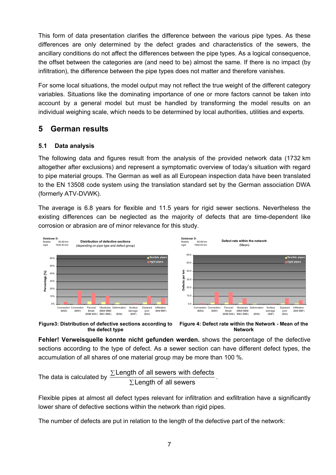This form of data presentation clarifies the difference between the various pipe types. As these differences are only determined by the defect grades and characteristics of the sewers, the ancillary conditions do not affect the differences between the pipe types. As a logical consequence, the offset between the categories are (and need to be) almost the same. If there is no impact (by infiltration), the difference between the pipe types does not matter and therefore vanishes.

For some local situations, the model output may not reflect the true weight of the different category variables. Situations like the dominating importance of one or more factors cannot be taken into account by a general model but must be handled by transforming the model results on an individual weighing scale, which needs to be determined by local authorities, utilities and experts.

### **5 German results**

#### **5.1 Data analysis**

The following data and figures result from the analysis of the provided network data (1732 km altogether after exclusions) and represent a symptomatic overview of today's situation with regard to pipe material groups. The German as well as all European inspection data have been translated to the EN 13508 code system using the translation standard set by the German association DWA (formerly ATV-DVWK).

The average is 6.8 years for flexible and 11.5 years for rigid sewer sections. Nevertheless the existing differences can be neglected as the majority of defects that are time-dependent like corrosion or abrasion are of minor relevance for this study.





**Figure 4: Defect rate within the Network - Mean of the Network** 

**Fehler! Verweisquelle konnte nicht gefunden werden.** shows the percentage of the defective sections according to the type of defect. As a sewer section can have different defect types, the accumulation of all shares of one material group may be more than 100 %.

The data is calculated by 
$$
\frac{\Sigma \text{Length of all sewers with defects}}{\Sigma \text{Length of all sewers}}.
$$

Flexible pipes at almost all defect types relevant for infiltration and exfiltration have a significantly lower share of defective sections within the network than rigid pipes.

The number of defects are put in relation to the length of the defective part of the network: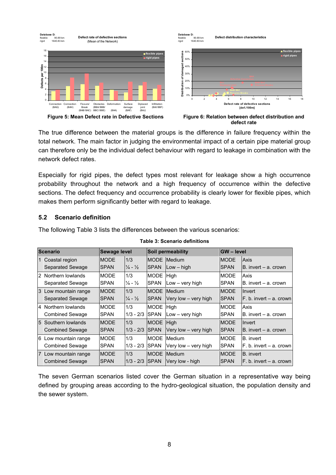

The true difference between the material groups is the difference in failure frequency within the total network. The main factor in judging the environmental impact of a certain pipe material group can therefore only be the individual defect behaviour with regard to leakage in combination with the network defect rates.

Especially for rigid pipes, the defect types most relevant for leakage show a high occurrence probability throughout the network and a high frequency of occurrence within the defective sections. The defect frequency and occurrence probability is clearly lower for flexible pipes, which makes them perform significantly better with regard to leakage.

#### **5.2 Scenario definition**

The following Table 3 lists the differences between the various scenarios:

| <b>Scenario</b> |                        | Sewage level |                             |              | Soil permeability    |             | <b>GW-level</b>             |  |
|-----------------|------------------------|--------------|-----------------------------|--------------|----------------------|-------------|-----------------------------|--|
|                 | 1 Coastal region       | <b>MODE</b>  | 1/3                         | <b>MODE</b>  | Medium               | <b>MODE</b> | Axis                        |  |
|                 | Separated Sewage       | <b>SPAN</b>  | $\frac{1}{4} - \frac{1}{2}$ | <b>ISPAN</b> | $Low - high$         | <b>SPAN</b> | B. invert – a. crown        |  |
|                 | 2 Northern lowlands    | <b>MODE</b>  | 1/3                         | <b>MODE</b>  | Hiah                 | <b>MODE</b> | Axis                        |  |
|                 | Separated Sewage       | <b>SPAN</b>  | $\frac{1}{4} - \frac{1}{2}$ | <b>SPAN</b>  | Low – very high      | <b>SPAN</b> | $B.$ invert $-$ a. crown    |  |
|                 | 3 Low mountain range   | <b>MODE</b>  | 1/3                         | <b>MODE</b>  | Medium               | <b>MODE</b> | Invert                      |  |
|                 | Separated Sewage       | <b>SPAN</b>  | $\frac{1}{4} - \frac{1}{2}$ | <b>ISPAN</b> | Very low - very high | <b>SPAN</b> | $F. b.$ invert $- a.$ crown |  |
|                 | 4 Northern lowlands    | <b>MODE</b>  | 1/3                         | <b>MODE</b>  | High                 | <b>MODE</b> | Axis                        |  |
|                 | <b>Combined Sewage</b> | <b>SPAN</b>  | $1/3 - 2/3$                 | <b>ISPAN</b> | $Low - very high$    | ISPAN       | $B.$ invert $- a.$ crown    |  |
|                 | 5 Southern lowlands    | <b>MODE</b>  | 1/3                         | <b>MODE</b>  | <b>High</b>          | <b>MODE</b> | Invert                      |  |
|                 | <b>Combined Sewage</b> | ISPAN        | $1/3 - 2/3$                 | <b>ISPAN</b> | Very low - very high | <b>SPAN</b> | $B.$ invert $- a.$ crown    |  |
|                 | 6 Low mountain range   | <b>MODE</b>  | 1/3                         | <b>MODE</b>  | Medium               | <b>MODE</b> | B. invert                   |  |
|                 | <b>Combined Sewage</b> | <b>SPAN</b>  | $1/3 - 2/3$                 | <b>SPAN</b>  | Very low - very high | <b>SPAN</b> | F. b. invert - a. crown     |  |
|                 | 7 Low mountain range   | <b>MODE</b>  | 1/3                         | <b>MODE</b>  | Medium               | <b>MODE</b> | B. invert                   |  |
|                 | <b>Combined Sewage</b> | <b>SPAN</b>  | $1/3 - 2/3$ SPAN            |              | Very low - high      | <b>SPAN</b> | IF. b. invert – a. crownl   |  |

#### **Table 3: Scenario definitions**

The seven German scenarios listed cover the German situation in a representative way being defined by grouping areas according to the hydro-geological situation, the population density and the sewer system.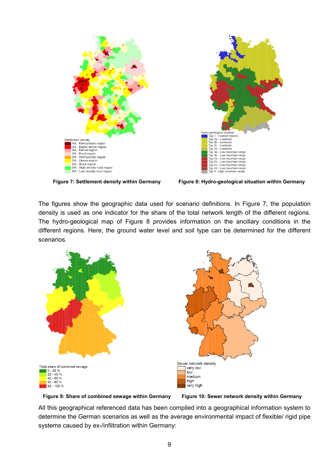



**Figure 7: Settlement density within Germany Figure 8: Hydro-geological situation within Germany**

The figures show the geographic data used for scenario definitions. In Figure 7, the population density is used as one indicator for the share of the total network length of the different regions. The hydro-geological map of Figure 8 provides information on the ancillary conditions in the different regions. Here, the ground water level and soil type can be determined for the different scenarios.



**Figure 9: Share of combined sewage within Germany Figure 10: Sewer network density within Germany** 

All this geographical referenced data has been compiled into a geographical information system to determine the German scenarios as well as the average environmental impact of flexible/ rigid pipe systems caused by ex-/infiltration within Germany: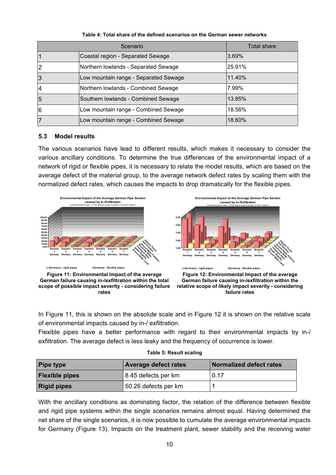|                | Total share                           |        |
|----------------|---------------------------------------|--------|
|                | Coastal region - Separated Sewage     | 3.69%  |
| 2              | Northern lowlands - Separated Sewage  | 25.91% |
| 3              | Low mountain range - Separated Sewage | 11.40% |
| $\overline{4}$ | Northern lowlands - Combined Sewage   | 7.99%  |
| 5              | Southern lowlands - Combined Sewage   | 13.85% |
| 6              | Low mountain range - Combined Sewage  | 18.56% |
|                | Low mountain range - Combined Sewage  | 18.60% |

**Table 4: Total share of the defined scenarios on the German sewer networks** 

#### **5.3 Model results**

The various scenarios have lead to different results, which makes it necessary to consider the various ancillary conditions. To determine the true differences of the environmental impact of a network of rigid or flexible pipes, it is necessary to relate the model results, which are based on the average defect of the material group, to the average network defect rates by scaling them with the normalized defect rates, which causes the impacts to drop dramatically for the flexible pipes.









In Figure 11, this is shown on the absolute scale and in Figure 12 it is shown on the relative scale of environmental impacts caused by in-/ exfiltration.

Flexible pipes have a better performance with regard to their environmental impacts by in-/ exfiltration. The average defect is less leaky and the frequency of occurrence is lower.

| <b>Pipe type</b>      | <b>Average defect rates</b> | <b>Normalized defect rates</b> |  |  |
|-----------------------|-----------------------------|--------------------------------|--|--|
| <b>Flexible pipes</b> | 8.45 defects per km         | 0.17                           |  |  |
| <b>Rigid pipes</b>    | 50.26 defects per km        |                                |  |  |

With the ancillary conditions as dominating factor, the relation of the difference between flexible and rigid pipe systems within the single scenarios remains almost equal. Having determined the net share of the single scenarios, it is now possible to cumulate the average environmental impacts for Germany (Figure 13). Impacts on the treatment plant, sewer stability and the receiving water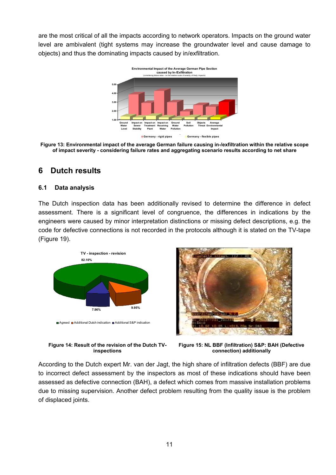are the most critical of all the impacts according to network operators. Impacts on the ground water level are ambivalent (tight systems may increase the groundwater level and cause damage to objects) and thus the dominating impacts caused by in/exfiltration.



**Figure 13: Environmental impact of the average German failure causing in-/exfiltration within the relative scope of impact severity - considering failure rates and aggregating scenario results according to net share** 

## **6 Dutch results**

#### **6.1 Data analysis**

The Dutch inspection data has been additionally revised to determine the difference in defect assessment. There is a significant level of congruence, the differences in indications by the engineers were caused by minor interpretation distinctions or missing defect descriptions, e.g. the code for defective connections is not recorded in the protocols although it is stated on the TV-tape (Figure 19).







**Figure 15: NL BBF (Infiltration) S&P: BAH (Defective connection) additionally** 

According to the Dutch expert Mr. van der Jagt, the high share of infiltration defects (BBF) are due to incorrect defect assessment by the inspectors as most of these indications should have been assessed as defective connection (BAH), a defect which comes from massive installation problems due to missing supervision. Another defect problem resulting from the quality issue is the problem of displaced joints.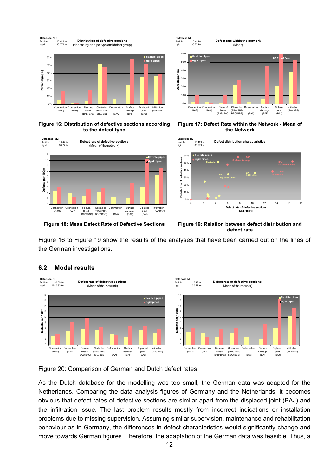

**Figure 16: Distribution of defective sections according to the defect type** 





**Defect rate within the network** 

**Figure 17: Defect Rate within the Network - Mean of the Network** 



**Figure 18: Mean Defect Rate of Defective Sections Figure 19: Relation between defect distribution and defect rate** 

Figure 16 to Figure 19 show the results of the analyses that have been carried out on the lines of the German investigations.

**Database NL:**



#### **6.2 Model results**

Figure 20: Comparison of German and Dutch defect rates

As the Dutch database for the modelling was too small, the German data was adapted for the Netherlands. Comparing the data analysis figures of Germany and the Netherlands, it becomes obvious that defect rates of defective sections are similar apart from the displaced joint (BAJ) and the infiltration issue. The last problem results mostly from incorrect indications or installation problems due to missing supervision. Assuming similar supervision, maintenance and rehabilitation behaviour as in Germany, the differences in defect characteristics would significantly change and move towards German figures. Therefore, the adaptation of the German data was feasible. Thus, a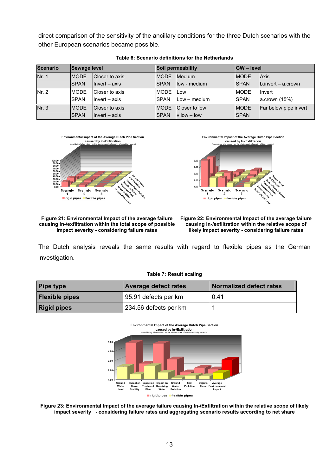direct comparison of the sensitivity of the ancillary conditions for the three Dutch scenarios with the other European scenarios became possible.

| <b>Scenario</b> | Sewage level |                 |             | Soil permeability          | <b>GW</b> – level |                            |  |
|-----------------|--------------|-----------------|-------------|----------------------------|-------------------|----------------------------|--|
| Nr. 1           | <b>IMODE</b> | Closer to axis  | <b>MODE</b> | <b>Medium</b>              | <b>MODE</b>       | <b>Axis</b>                |  |
|                 | <b>SPAN</b>  | $ੀnvert - axis$ | <b>SPAN</b> | llow - medium              | <b>SPAN</b>       | $\vert$ b.invert – a.crown |  |
| Nr. 2           | <b>IMODE</b> | Closer to axis  | <b>MODE</b> | <b>ILow</b>                | <b>IMODE</b>      | <b>Invert</b>              |  |
|                 | <b>SPAN</b>  | Invert – axis   | <b>SPAN</b> | Low – medium               | <b>SPAN</b>       | acrown (15%)               |  |
| Nr. 3           | <b>IMODE</b> | Closer to axis  | <b>MODE</b> | Closer to low              | <b>IMODE</b>      | Far below pipe invert      |  |
|                 | <b>SPAN</b>  | Invert – axis   | <b>SPAN</b> | $v_{\text{.}}$ low $-$ low | <b>SPAN</b>       |                            |  |







#### **Figure 21: Environmental Impact of the average failure causing in-/exfiltration within the total scope of possible impact severity - considering failure rates**



The Dutch analysis reveals the same results with regard to flexible pipes as the German investigation.

#### **Table 7: Result scaling**

| <b>Pipe type</b>      | <b>Average defect rates</b> | <b>Normalized defect rates</b> |  |  |
|-----------------------|-----------------------------|--------------------------------|--|--|
| <b>Flexible pipes</b> | 95.91 defects per km        | 0.41                           |  |  |
| <b>Rigid pipes</b>    | 234.56 defects per km       |                                |  |  |



**Figure 23: Environmental Impact of the average failure causing In-/Exfiltration within the relative scope of likely impact severity - considering failure rates and aggregating scenario results according to net share**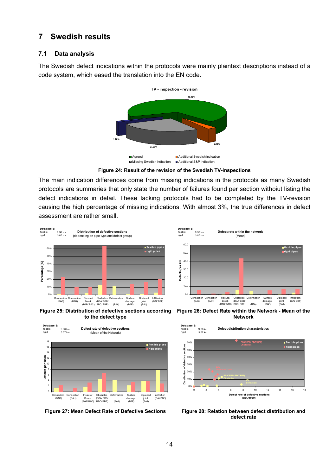## **7 Swedish results**

#### **7.1 Data analysis**

The Swedish defect indications within the protocols were mainly plaintext descriptions instead of a code system, which eased the translation into the EN code.



**Figure 24: Result of the revision of the Swedish TV-inspections** 

The main indication differences come from missing indications in the protocols as many Swedish protocols are summaries that only state the number of failures found per section withoiut listing the defect indications in detail. These lacking protocols had to be completed by the TV-revision causing the high percentage of missing indications. With almost 3%, the true differences in defect assessment are rather small.

**Database S:**

9.36 km



**Figure 25: Distribution of defective sections according to the defect type** 





**Defect rate within the network** 

**Figure 26: Defect Rate within the Network - Mean of the Network** 



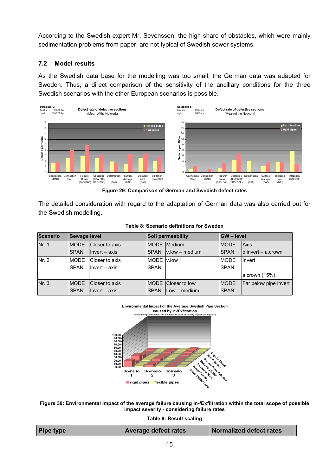According to the Swedish expert Mr. Sevensson, the high share of obstacles, which were mainly sedimentation problems from paper, are not typical of Swedish sewer systems.

### **7.2 Model results**

As the Swedish data base for the modelling was too small, the German data was adapted for Sweden. Thus, a direct comparison of the sensitivity of the ancillary conditions for the three Swedish scenarios with the other European scenarios is possible.



**Figure 29: Comparison of German and Swedish defect rates** 

The detailed consideration with regard to the adaptation of German data was also carried out for the Swedish modelling.

| Scenario | Sewage level                 |                                   |                           | Soil permeability                                       | <b>IGW</b> – level           |                                           |
|----------|------------------------------|-----------------------------------|---------------------------|---------------------------------------------------------|------------------------------|-------------------------------------------|
| Nr. 1    | <b>IMODE</b><br><b>ISPAN</b> | Closer to axis<br>$Invert - axis$ | <b>ISPAN</b>              | <b>MODE</b> Medium<br>$v$ .low $-$ medium               | <b>IMODE</b><br><b>ISPAN</b> | <b>Axis</b><br>$\vert$ b.invert – a.crown |
| Nr. 2    | <b>MODE</b><br><b>ISPAN</b>  | Closer to axis<br>Invert – axis   | MODE V.low<br><b>SPAN</b> |                                                         | <b>MODE</b><br><b>SPAN</b>   | <b>Ilnvert</b><br>acrown (15%)            |
| Nr. 3    | <b>IMODE</b><br><b>SPAN</b>  | Closer to axis<br>$Invert - axis$ | <b>ISPAN</b>              | <b>IMODE</b> Closer to low<br>$I_{\text{Low}}$ – medium | <b>IMODE</b><br><b>SPAN</b>  | Far below pipe invert                     |

#### **Table 8: Scenario definitions for Sweden**



**Figure 30: Environmental Impact of the average failure causing In-/Exfiltration within the total scope of possible impact severity - considering failure rates** 

**Table 9: Result scaling** 

| <b>Pipe type</b> | <b>Average defect rates</b> | Normalized defect rates |
|------------------|-----------------------------|-------------------------|
|                  |                             |                         |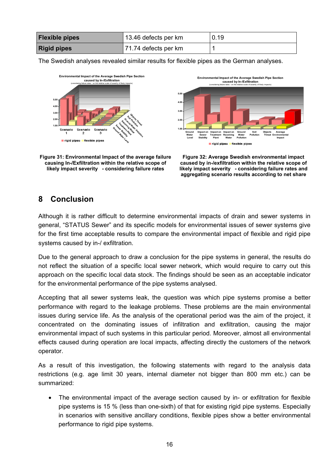| <b>Flexible pipes</b> | 13.46 defects per km | 0.19 |
|-----------------------|----------------------|------|
| <b>Rigid pipes</b>    | 71.74 defects per km |      |

The Swedish analyses revealed similar results for flexible pipes as the German analyses.



**Figure 31: Environmental Impact of the average failure causing In-/Exfiltration within the relative scope of likely impact severity - considering failure rates** 



**Figure 32: Average Swedish environmental impact caused by in-/exfiltration within the relative scope of likely impact severity - considering failure rates and aggregating scenario results according to net share** 

### **8 Conclusion**

Although it is rather difficult to determine environmental impacts of drain and sewer systems in general, "STATUS Sewer" and its specific models for environmental issues of sewer systems give for the first time acceptable results to compare the environmental impact of flexible and rigid pipe systems caused by in-/ exfiltration.

Due to the general approach to draw a conclusion for the pipe systems in general, the results do not reflect the situation of a specific local sewer network, which would require to carry out this approach on the specific local data stock. The findings should be seen as an acceptable indicator for the environmental performance of the pipe systems analysed.

Accepting that all sewer systems leak, the question was which pipe systems promise a better performance with regard to the leakage problems. These problems are the main environmental issues during service life. As the analysis of the operational period was the aim of the project, it concentrated on the dominating issues of infiltration and exfiltration, causing the major environmental impact of such systems in this particular period. Moreover, almost all environmental effects caused during operation are local impacts, affecting directly the customers of the network operator.

As a result of this investigation, the following statements with regard to the analysis data restrictions (e.g. age limit 30 years, internal diameter not bigger than 800 mm etc.) can be summarized:

The environmental impact of the average section caused by in- or exfiltration for flexible pipe systems is 15 % (less than one-sixth) of that for existing rigid pipe systems. Especially in scenarios with sensitive ancillary conditions, flexible pipes show a better environmental performance to rigid pipe systems.